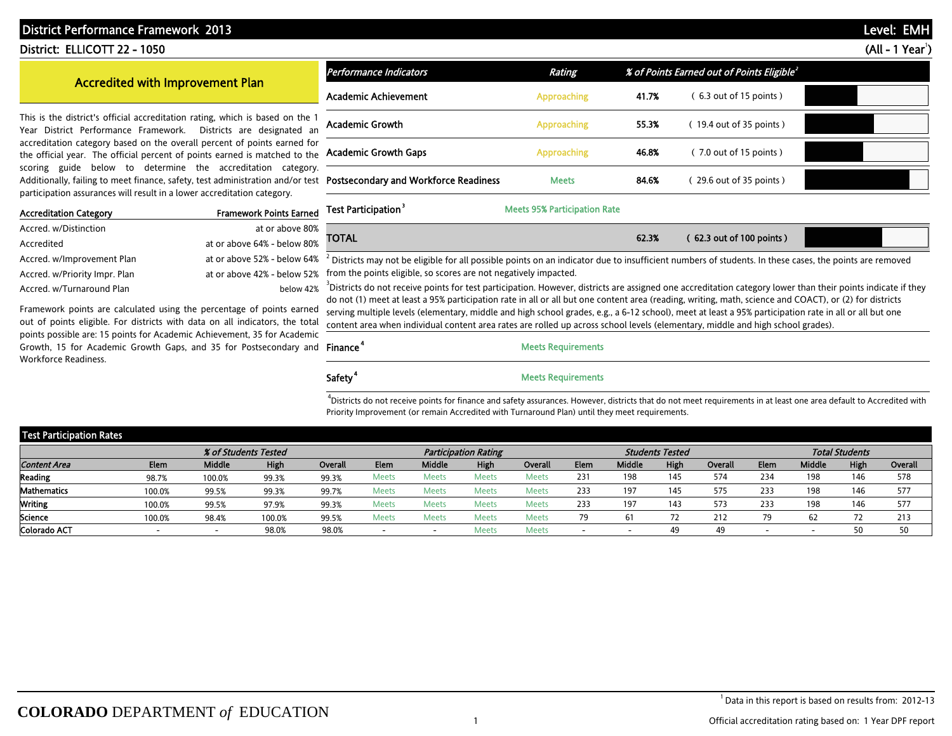# District Performance Framework 2013 **For a structure of the Level: EMI**

# District: ELLICOTT 22 - 1050 (All - 1 Year<sup>1</sup>)

# Accredited with Improvement Plan

This is the district's official accreditation rating, which is based on the 1 Year District Performance Framework. Districts are designated an accreditation category based on the overall percent of points earned for the official year. The official percent of points earned is matched to the scoring guide below to determine the accreditation category. Additionally, failing to meet finance, safety, test administration and/or test participation assurances will result in a lower accreditation category.

| <b>Accreditation Category</b> | <b>Framework Points Earned</b>        |  |
|-------------------------------|---------------------------------------|--|
| Accred. w/Distinction         | at or above 80%                       |  |
| Accredited                    | at or above 64% - below 80%           |  |
| Accred. w/Improvement Plan    | at or above 52% - below 64% $^{-2}$ [ |  |
| Accred. w/Priority Impr. Plan | at or above 42% - below 52% fr        |  |
| Accred. w/Turnaround Plan     | below 42% <sup>3</sup> D              |  |

Framework points are calculated using the percentage of points earned out of points eligible. For districts with data on all indicators, the total points possible are: 15 points for Academic Achievement, 35 for Academic Growth, 15 for Academic Growth Gaps, and 35 for Postsecondary and Finance<sup>4</sup> Workforce Readiness.

| Performance Indicators                       | Rating             |       | <i>% of Points Earned out of Points Eligible</i> <sup>2</sup> |  |
|----------------------------------------------|--------------------|-------|---------------------------------------------------------------|--|
| <b>Academic Achievement</b>                  | Approaching        | 41.7% | $(6.3$ out of 15 points)                                      |  |
| <b>Academic Growth</b>                       | <b>Approaching</b> | 55.3% | $(19.4$ out of 35 points)                                     |  |
| <b>Academic Growth Gaps</b>                  | <b>Approaching</b> | 46.8% | $(7.0$ out of 15 points)                                      |  |
| <b>Postsecondary and Workforce Readiness</b> | <b>Meets</b>       | 84.6% | 29.6 out of 35 points)                                        |  |

### Test Participation<sup>3</sup>

|  | <b>Meets 95% Participation Rate</b> |  |
|--|-------------------------------------|--|
|  |                                     |  |

| TOTAL        |  | 62.3% | (62.3 out of 100 points) |  |
|--------------|--|-------|--------------------------|--|
|              |  |       |                          |  |
| $\mathbf{r}$ |  |       | ____                     |  |

 $^2$  Districts may not be eligible for all possible points on an indicator due to insufficient numbers of students. In these cases, the points are removed from the points eligible, so scores are not negatively impacted.

<sup>3</sup>Districts do not receive points for test participation. However, districts are assigned one accreditation category lower than their points indicate if they do not (1) meet at least a 95% participation rate in all or all but one content area (reading, writing, math, science and COACT), or (2) for districts serving multiple levels (elementary, middle and high school grades, e.g., a 6-12 school), meet at least a 95% participation rate in all or all but one content area when individual content area rates are rolled up across school levels (elementary, middle and high school grades).

### **Meets Requirements**

# Safety<sup>4</sup> Meets Requirements

 $4$ Districts do not receive points for finance and safety assurances. However, districts that do not meet requirements in at least one area default to Accredited with Priority Improvement (or remain Accredited with Turnaround Plan) until they meet requirements.

| <b>Test Participation Rates</b> |             |                                                     |        |         |                        |               |              |              |      |                          |      |         |      |               |      |         |  |
|---------------------------------|-------------|-----------------------------------------------------|--------|---------|------------------------|---------------|--------------|--------------|------|--------------------------|------|---------|------|---------------|------|---------|--|
|                                 |             | % of Students Tested<br><b>Participation Rating</b> |        |         | <b>Students Tested</b> |               |              |              |      | <b>Total Students</b>    |      |         |      |               |      |         |  |
| <b>Content Area</b>             | <b>Elem</b> | Middle                                              | High   | Overall | Elem                   | <b>Middle</b> | High         | Overall      | Elem | Middle                   | High | Overall | Elem | <b>Middle</b> | High | Overall |  |
| <b>Reading</b>                  | 98.7%       | 100.0%                                              | 99.3%  | 99.3%   | Meet:                  | <b>Meets</b>  | <b>Meets</b> | <b>Meets</b> | 231  | 198                      | 145  | 574     | 234  | 198           | 146  | 578     |  |
| <b>Mathematics</b>              | 100.0%      | 99.5%                                               | 99.3%  | 99.7%   | <b>Meets</b>           | Meets         | <b>Meets</b> | <b>Meets</b> | 233  | 197                      | 145  | 575     | 233  | 198           | 146  | 577     |  |
| <b>Writing</b>                  | 100.0%      | 99.5%                                               | 97.9%  | 99.3%   | Meet:                  | Meets         | Meets        | <b>Meets</b> | 233  | 197                      | 143  | 573     | 233  | 198           | 146  | 577     |  |
| <b>Science</b>                  | 100.0%      | 98.4%                                               | 100.0% | 99.5%   | <b>Meets</b>           | <b>Meets</b>  | <b>Meets</b> | <b>Meets</b> | 79   | 61                       |      | 212     | 79   | 62            |      | 213     |  |
| Colorado ACT                    | ۰           |                                                     | 98.0%  | 98.0%   |                        |               | Meets        | <b>Meets</b> | -    | $\overline{\phantom{a}}$ | 49   | 49      |      |               |      | -50     |  |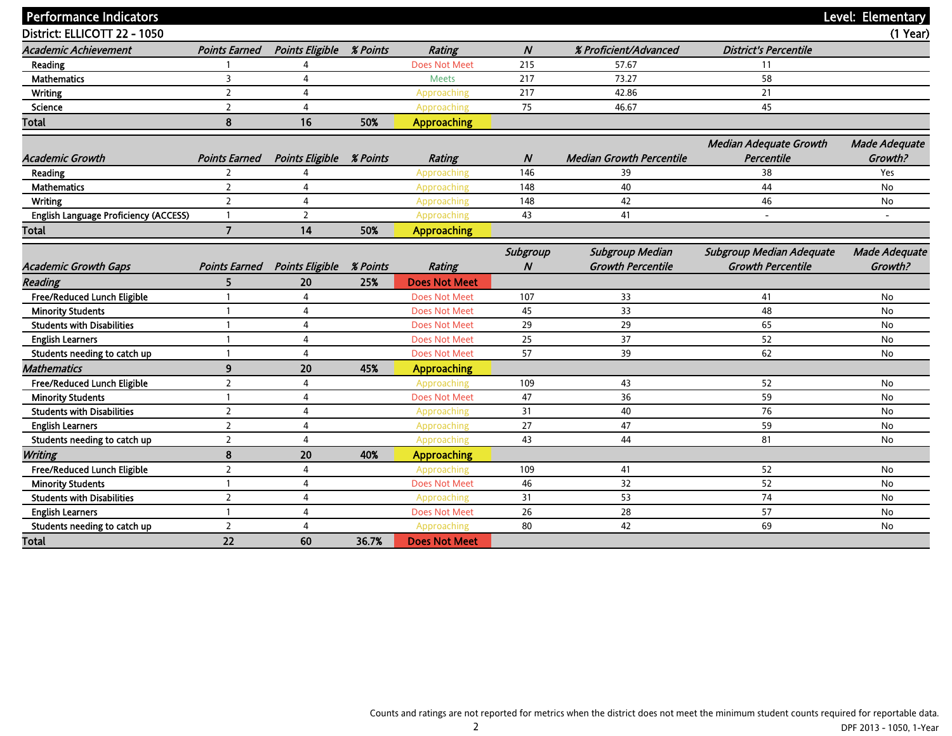| <b>Performance Indicators</b>                |                      |                                 |          |                      |                  |                                 |                                 | Level: Elementary    |
|----------------------------------------------|----------------------|---------------------------------|----------|----------------------|------------------|---------------------------------|---------------------------------|----------------------|
| District: ELLICOTT 22 - 1050                 |                      |                                 |          |                      |                  |                                 |                                 | $(1$ Year)           |
| <b>Academic Achievement</b>                  | <b>Points Earned</b> | <b>Points Eligible</b>          | % Points | <b>Rating</b>        | $\boldsymbol{N}$ | % Proficient/Advanced           | <b>District's Percentile</b>    |                      |
| <b>Reading</b>                               |                      | 4                               |          | <b>Does Not Meet</b> | 215              | 57.67                           | 11                              |                      |
| <b>Mathematics</b>                           | 3                    | $\overline{4}$                  |          | <b>Meets</b>         | 217              | 73.27                           | 58                              |                      |
| <b>Writing</b>                               | $\overline{2}$       | $\overline{4}$                  |          | Approaching          | 217              | 42.86                           | 21                              |                      |
| Science                                      | $\overline{2}$       | $\overline{4}$                  |          | Approaching          | 75               | 46.67                           | 45                              |                      |
| Total                                        | 8                    | 16                              | 50%      | <b>Approaching</b>   |                  |                                 |                                 |                      |
|                                              |                      |                                 |          |                      |                  |                                 | <b>Median Adequate Growth</b>   | <b>Made Adequate</b> |
| <b>Academic Growth</b>                       | <b>Points Earned</b> | <b>Points Eligible % Points</b> |          | <b>Rating</b>        | $\boldsymbol{N}$ | <b>Median Growth Percentile</b> | Percentile                      | Growth?              |
| Reading                                      | $\overline{2}$       | 4                               |          | Approaching          | 146              | 39                              | 38                              | Yes                  |
| <b>Mathematics</b>                           | $\overline{2}$       | $\overline{4}$                  |          | Approaching          | 148              | 40                              | 44                              | No                   |
| <b>Writing</b>                               | $\overline{2}$       | $\overline{4}$                  |          | Approaching          | 148              | 42                              | 46                              | No                   |
| <b>English Language Proficiency (ACCESS)</b> | $\mathbf{1}$         | $\overline{2}$                  |          | Approaching          | 43               | 41                              |                                 |                      |
| Total                                        | $\overline{7}$       | 14                              | 50%      | <b>Approaching</b>   |                  |                                 |                                 |                      |
|                                              |                      |                                 |          |                      | Subgroup         | <b>Subgroup Median</b>          | <b>Subgroup Median Adequate</b> | <b>Made Adequate</b> |
| <b>Academic Growth Gaps</b>                  | <b>Points Earned</b> | <b>Points Eligible</b>          | % Points | <b>Rating</b>        | $\boldsymbol{N}$ | <b>Growth Percentile</b>        | <b>Growth Percentile</b>        | Growth?              |
| <b>Reading</b>                               | 5                    | 20                              | 25%      | <b>Does Not Meet</b> |                  |                                 |                                 |                      |
| Free/Reduced Lunch Eligible                  |                      | 4                               |          | <b>Does Not Meet</b> | 107              | 33                              | 41                              | No                   |
| <b>Minority Students</b>                     |                      | $\overline{4}$                  |          | <b>Does Not Meet</b> | 45               | 33                              | 48                              | No                   |
| <b>Students with Disabilities</b>            |                      | 4                               |          | <b>Does Not Meet</b> | 29               | 29                              | 65                              | No                   |
| <b>English Learners</b>                      |                      | $\overline{4}$                  |          | <b>Does Not Meet</b> | 25               | 37                              | 52                              | No                   |
| Students needing to catch up                 |                      | $\overline{4}$                  |          | <b>Does Not Meet</b> | 57               | 39                              | 62                              | No                   |
| <b>Mathematics</b>                           | $\mathbf{9}$         | 20                              | 45%      | <b>Approaching</b>   |                  |                                 |                                 |                      |
| Free/Reduced Lunch Eligible                  | $\overline{2}$       | $\overline{4}$                  |          | Approaching          | 109              | 43                              | 52                              | No                   |
| <b>Minority Students</b>                     | $\mathbf{1}$         | $\overline{4}$                  |          | <b>Does Not Meet</b> | 47               | 36                              | 59                              | No                   |
| <b>Students with Disabilities</b>            | $\overline{2}$       | $\overline{4}$                  |          | Approaching          | 31               | 40                              | 76                              | No                   |
| <b>English Learners</b>                      | $\overline{2}$       | 4                               |          | Approaching          | 27               | 47                              | 59                              | No                   |
| Students needing to catch up                 | $\overline{2}$       | 4                               |          | Approaching          | 43               | 44                              | 81                              | No                   |
| Writing                                      | 8                    | 20                              | 40%      | <b>Approaching</b>   |                  |                                 |                                 |                      |
| Free/Reduced Lunch Eligible                  | $\overline{2}$       | 4                               |          | Approaching          | 109              | 41                              | 52                              | No                   |
| <b>Minority Students</b>                     | $\mathbf{1}$         | 4                               |          | <b>Does Not Meet</b> | 46               | 32                              | 52                              | No                   |
| <b>Students with Disabilities</b>            | $\overline{2}$       | $\overline{4}$                  |          | Approaching          | 31               | 53                              | 74                              | <b>No</b>            |
| <b>English Learners</b>                      | $\mathbf{1}$         | 4                               |          | Does Not Meet        | 26               | 28                              | 57                              | No                   |
| Students needing to catch up                 | $\overline{2}$       | 4                               |          | Approaching          | 80               | 42                              | 69                              | No                   |
| Total                                        | 22                   | 60                              | 36.7%    | <b>Does Not Meet</b> |                  |                                 |                                 |                      |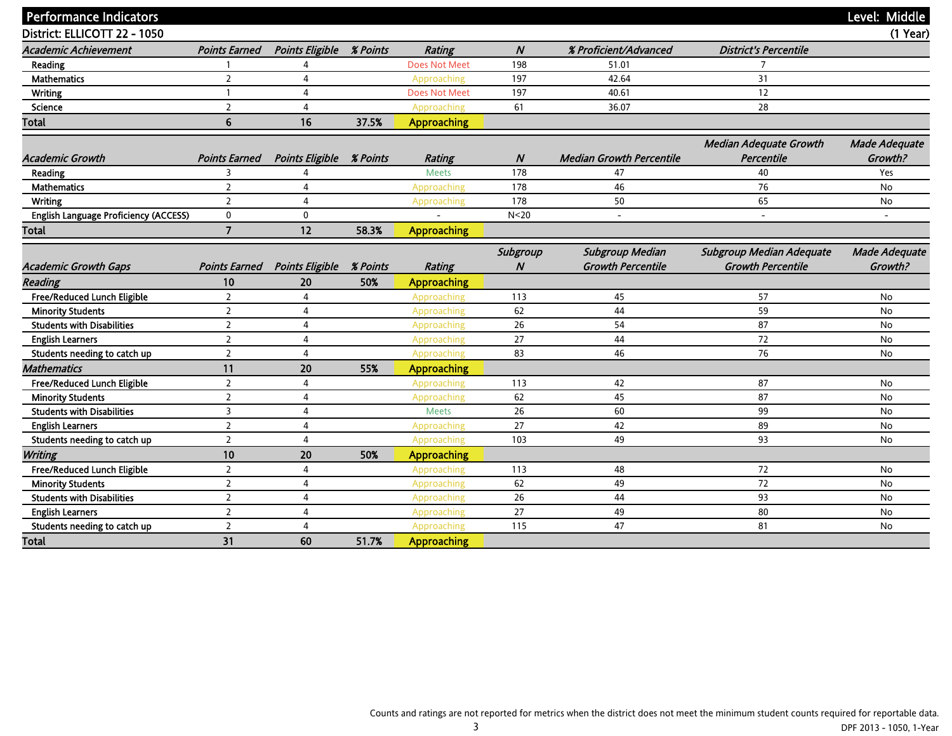| <b>Performance Indicators</b>                           |                               |                                     |          |                        |                 |                                 |                                | Level: Middle        |
|---------------------------------------------------------|-------------------------------|-------------------------------------|----------|------------------------|-----------------|---------------------------------|--------------------------------|----------------------|
| District: ELLICOTT 22 - 1050                            |                               |                                     |          |                        |                 |                                 |                                | $(1$ Year)           |
| Academic Achievement                                    | <b>Points Earned</b>          | <b>Points Eligible % Points</b>     |          | <b>Rating</b>          | N               | % Proficient/Advanced           | <b>District's Percentile</b>   |                      |
| Reading                                                 |                               | 4                                   |          | <b>Does Not Meet</b>   | 198             | 51.01                           |                                |                      |
| <b>Mathematics</b>                                      | $\overline{2}$                | $\overline{4}$                      |          | Approaching            | 197             | 42.64                           | 31                             |                      |
| <b>Writing</b>                                          | $\mathbf{1}$                  | $\overline{4}$                      |          | <b>Does Not Meet</b>   | 197             | 40.61                           | 12                             |                      |
| <b>Science</b>                                          | $\overline{2}$                | 4                                   |          | Approaching            | 61              | 36.07                           | 28                             |                      |
| Total                                                   | 6                             | 16                                  | 37.5%    | <b>Approaching</b>     |                 |                                 |                                |                      |
|                                                         |                               |                                     |          |                        |                 |                                 | <b>Median Adequate Growth</b>  | Made Adequate        |
| <b>Academic Growth</b>                                  | <b>Points Earned</b>          |                                     |          |                        |                 | <b>Median Growth Percentile</b> | Percentile                     | Growth?              |
| Reading                                                 | 3                             | <b>Points Eligible &amp; Points</b> |          | <b>Rating</b><br>Meets | N<br>178        | 47                              | 40                             | Yes                  |
|                                                         |                               | 4                                   |          |                        |                 |                                 |                                |                      |
| <b>Mathematics</b>                                      | $\overline{2}$                | 4<br>4                              |          | Approaching            | 178<br>178      | 46<br>50                        | 76                             | No                   |
| <b>Writing</b><br>English Language Proficiency (ACCESS) | $\overline{2}$<br>$\mathbf 0$ | $\mathbf 0$                         |          | Approaching            | N <sub>20</sub> | $\overline{a}$                  | 65<br>$\overline{\phantom{a}}$ | No                   |
|                                                         | $\overline{7}$                |                                     |          |                        |                 |                                 |                                |                      |
| Total                                                   |                               | 12                                  | 58.3%    | <b>Approaching</b>     |                 |                                 |                                |                      |
|                                                         |                               |                                     |          |                        | Subgroup        | <b>Subgroup Median</b>          | Subgroup Median Adequate       | <b>Made Adequate</b> |
| <b>Academic Growth Gaps</b>                             | <b>Points Earned</b>          | <b>Points Eligible</b>              | % Points | Rating                 | N               | <b>Growth Percentile</b>        | <b>Growth Percentile</b>       | Growth?              |
| <b>Reading</b>                                          | 10                            | 20                                  | 50%      | <b>Approaching</b>     |                 |                                 |                                |                      |
|                                                         |                               |                                     |          |                        |                 |                                 |                                |                      |
| Free/Reduced Lunch Eligible                             | $\overline{2}$                | 4                                   |          | Approaching            | 113             | 45                              | 57                             | No                   |
| <b>Minority Students</b>                                | $\overline{2}$                | 4                                   |          | Approaching            | 62              | 44                              | 59                             | No                   |
| <b>Students with Disabilities</b>                       | $\overline{2}$                | 4                                   |          | Approaching            | 26              | 54                              | 87                             | No                   |
| <b>English Learners</b>                                 | $\overline{2}$                | 4                                   |          | Approaching            | 27              | 44                              | 72                             | No                   |
| Students needing to catch up                            | $\overline{2}$                | $\overline{4}$                      |          | Approaching            | 83              | 46                              | 76                             | <b>No</b>            |
| <b>Mathematics</b>                                      | 11                            | 20                                  | 55%      | <b>Approaching</b>     |                 |                                 |                                |                      |
| Free/Reduced Lunch Eligible                             | $\overline{2}$                | 4                                   |          | <b>Approaching</b>     | 113             | 42                              | 87                             | No                   |
| <b>Minority Students</b>                                | $\overline{2}$                | $\overline{4}$                      |          | Approaching            | 62              | 45                              | 87                             | <b>No</b>            |
| <b>Students with Disabilities</b>                       | 3                             | 4                                   |          | <b>Meets</b>           | 26              | 60                              | 99                             | No                   |
| <b>English Learners</b>                                 | $\overline{2}$                | $\overline{4}$                      |          | Approaching            | 27              | 42                              | 89                             | No                   |
| Students needing to catch up                            | $\overline{2}$                | $\overline{4}$                      |          | Approaching            | 103             | 49                              | 93                             | No                   |
| <b>Writing</b>                                          | 10                            | 20                                  | 50%      | <b>Approaching</b>     |                 |                                 |                                |                      |
| Free/Reduced Lunch Eligible                             | $\overline{2}$                | $\overline{4}$                      |          | Approaching            | 113             | 48                              | 72                             | No                   |
| <b>Minority Students</b>                                | $\overline{2}$                | $\overline{4}$                      |          | Approaching            | 62              | 49                              | 72                             | No                   |
| <b>Students with Disabilities</b>                       | $\overline{2}$                | 4                                   |          | Approaching            | 26              | 44                              | 93                             | No                   |
| <b>English Learners</b>                                 | $\overline{2}$                | 4                                   |          | Approaching            | 27              | 49                              | 80                             | <b>No</b>            |
| Students needing to catch up                            | $\overline{2}$                | $\overline{4}$                      |          | Approaching            | 115             | 47                              | 81                             | <b>No</b>            |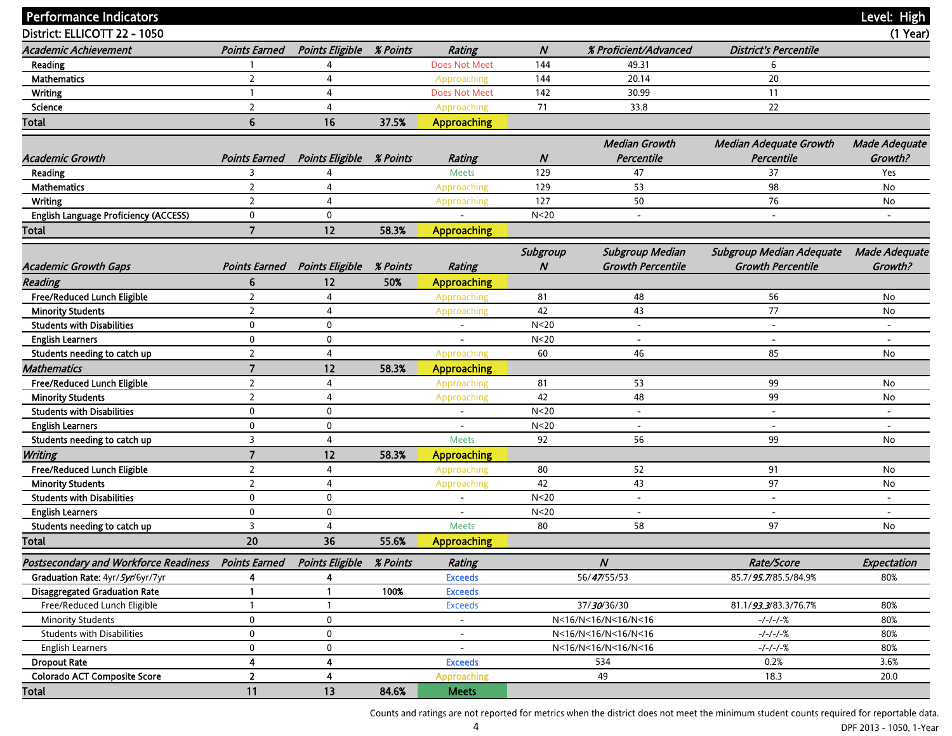| <b>Performance Indicators</b>                        |                      |                        |                 |                          |                 |                            |                               | Level: High              |
|------------------------------------------------------|----------------------|------------------------|-----------------|--------------------------|-----------------|----------------------------|-------------------------------|--------------------------|
| District: ELLICOTT 22 - 1050                         |                      |                        |                 |                          |                 |                            |                               | $(1$ Year)               |
| Academic Achievement                                 | <b>Points Earned</b> | <b>Points Eligible</b> | <b>% Points</b> | <b>Rating</b>            | N               | % Proficient/Advanced      | <b>District's Percentile</b>  |                          |
| <b>Reading</b>                                       |                      | 4                      |                 | <b>Does Not Meet</b>     | 144             | 49.31                      | 6                             |                          |
| <b>Mathematics</b>                                   | $\overline{2}$       | 4                      |                 | Approaching              | 144             | 20.14                      | 20                            |                          |
| <b>Writing</b>                                       | $\mathbf{1}$         | 4                      |                 | <b>Does Not Meet</b>     | 142             | 30.99                      | 11                            |                          |
| Science                                              | $\overline{2}$       | 4                      |                 | Approaching              | 71              | 33.8                       | 22                            |                          |
| Total                                                | 6                    | 16                     | 37.5%           | <b>Approaching</b>       |                 |                            |                               |                          |
|                                                      |                      |                        |                 |                          |                 | <b>Median Growth</b>       | <b>Median Adequate Growth</b> | <b>Made Adequate</b>     |
| <b>Academic Growth</b>                               | <b>Points Earned</b> | <b>Points Eligible</b> | % Points        | <b>Rating</b>            | N               | Percentile                 | Percentile                    | Growth?                  |
| Reading                                              | 3                    | 4                      |                 | <b>Meets</b>             | 129             | 47                         | 37                            | Yes                      |
| <b>Mathematics</b>                                   | $\overline{2}$       | 4                      |                 | Approaching              | 129             | 53                         | 98                            | No                       |
| <b>Writing</b>                                       | $\overline{2}$       | 4                      |                 | Approaching              | 127             | 50                         | 76                            | No                       |
| English Language Proficiency (ACCESS)                | 0                    | 0                      |                 |                          | N < 20          | $\overline{\phantom{a}}$   | $\overline{\phantom{a}}$      | $\overline{\phantom{a}}$ |
| Total                                                | $\overline{7}$       | 12                     | 58.3%           | <b>Approaching</b>       |                 |                            |                               |                          |
|                                                      |                      |                        |                 |                          |                 |                            |                               |                          |
|                                                      |                      |                        |                 |                          | Subgroup        | <b>Subgroup Median</b>     | Subgroup Median Adequate      | <b>Made Adequate</b>     |
| <b>Academic Growth Gaps</b>                          | <b>Points Earned</b> | <b>Points Eligible</b> | <b>% Points</b> | <b>Rating</b>            | N               | <b>Growth Percentile</b>   | <b>Growth Percentile</b>      | Growth?                  |
| <b>Reading</b>                                       | 6                    | 12                     | 50%             | <b>Approaching</b>       |                 |                            |                               |                          |
| Free/Reduced Lunch Eligible                          | $\overline{2}$       | 4                      |                 | Approaching              | 81              | 48                         | 56                            | No                       |
| <b>Minority Students</b>                             | $\overline{2}$       | 4                      |                 | Approaching              | 42              | 43                         | 77                            | No                       |
| <b>Students with Disabilities</b>                    | 0                    | 0                      |                 | $\overline{\phantom{a}}$ | N < 20          | $\overline{\phantom{a}}$   |                               |                          |
| <b>English Learners</b>                              | $\mathbf 0$          | 0                      |                 | $\overline{\phantom{a}}$ | N < 20          | $\overline{\phantom{a}}$   | $\qquad \qquad \blacksquare$  | $\overline{\phantom{a}}$ |
| Students needing to catch up                         | $\overline{2}$       | 4                      |                 | Approaching              | 60              | 46                         | 85                            | No                       |
| <b>Mathematics</b>                                   | $\overline{7}$       | 12                     | 58.3%           | <b>Approaching</b>       |                 |                            |                               |                          |
| Free/Reduced Lunch Eligible                          | $\overline{2}$       | 4                      |                 | Approaching              | 81              | 53                         | 99                            | No                       |
| <b>Minority Students</b>                             | $\overline{2}$       | 4                      |                 | Approaching              | 42              | 48                         | 99                            | No                       |
| <b>Students with Disabilities</b>                    | 0                    | 0                      |                 | $\overline{\phantom{0}}$ | N < 20          | $\overline{\phantom{a}}$   |                               | $\overline{\phantom{a}}$ |
| <b>English Learners</b>                              | $\mathbf 0$          | 0                      |                 | $\overline{\phantom{a}}$ | N <sub>20</sub> | $\overline{\phantom{a}}$   | $\overline{\phantom{a}}$      | $\overline{a}$           |
| Students needing to catch up                         | 3                    | 4                      |                 | <b>Meets</b>             | 92              | 56                         | 99                            | No                       |
| <b>Writing</b>                                       | $\overline{7}$       | 12                     | 58.3%           | <b>Approaching</b>       |                 |                            |                               |                          |
| Free/Reduced Lunch Eligible                          | $\overline{2}$       | 4                      |                 | Approaching              | 80              | 52                         | 91                            | No                       |
| <b>Minority Students</b>                             | $\overline{2}$       | 4                      |                 | Approaching              | 42              | 43                         | 97                            | No                       |
| <b>Students with Disabilities</b>                    | 0                    | 0                      |                 | $\overline{\phantom{0}}$ | N < 20          | $\overline{\phantom{a}}$   | $\overline{a}$                | $\overline{\phantom{a}}$ |
| <b>English Learners</b>                              | $\mathbf 0$          | 0                      |                 | $\overline{\phantom{a}}$ | N < 20          | $\overline{\phantom{a}}$   | $\qquad \qquad \blacksquare$  | $\overline{\phantom{a}}$ |
| Students needing to catch up                         | 3                    | 4                      |                 | <b>Meets</b>             | 80              | 58                         | 97                            | No                       |
| <b>Total</b>                                         | 20 <sup>2</sup>      | 36                     | 55.6%           | Approaching              |                 |                            |                               |                          |
| Postsecondary and Workforce Readiness  Points Earned |                      | <b>Points Eligible</b> | <b>% Points</b> | <b>Rating</b>            |                 | $\boldsymbol{\mathcal{N}}$ | Rate/Score                    | Expectation              |
| Graduation Rate: 4yr/5yr/6yr/7yr                     | 4                    | 4                      |                 | <b>Exceeds</b>           |                 | 56/47/55/53                | 85.7/95.7/85.5/84.9%          | 80%                      |
| <b>Disaggregated Graduation Rate</b>                 |                      |                        | 100%            | <b>Exceeds</b>           |                 |                            |                               |                          |
| Free/Reduced Lunch Eligible                          |                      |                        |                 | <b>Exceeds</b>           |                 | 37/30/36/30                | 81.1/93.3/83.3/76.7%          | 80%                      |
| <b>Minority Students</b>                             | $\mathbf 0$          | 0                      |                 | $\overline{\phantom{a}}$ |                 | N<16/N<16/N<16/N<16        | $-/-/-/-%$                    | 80%                      |
| Students with Disabilities                           | $\mathbf 0$          | $\mathbf 0$            |                 | $\overline{\phantom{a}}$ |                 | N<16/N<16/N<16/N<16        | $-/-/-/-%$                    | 80%                      |
| <b>English Learners</b>                              | 0                    | 0                      |                 | $\overline{\phantom{a}}$ |                 | N<16/N<16/N<16/N<16        | $-/-/-/-%$                    | 80%                      |
| <b>Dropout Rate</b>                                  | 4                    | 4                      |                 | <b>Exceeds</b>           |                 | 534                        | 0.2%                          | 3.6%                     |
| Colorado ACT Composite Score                         | $\overline{2}$       | 4                      |                 | <b>Approaching</b>       |                 | 49                         | 18.3                          | 20.0                     |
| Total                                                | 11                   | 13                     | 84.6%           | Meets                    |                 |                            |                               |                          |

Counts and ratings are not reported for metrics when the district does not meet the minimum student counts required for reportable data.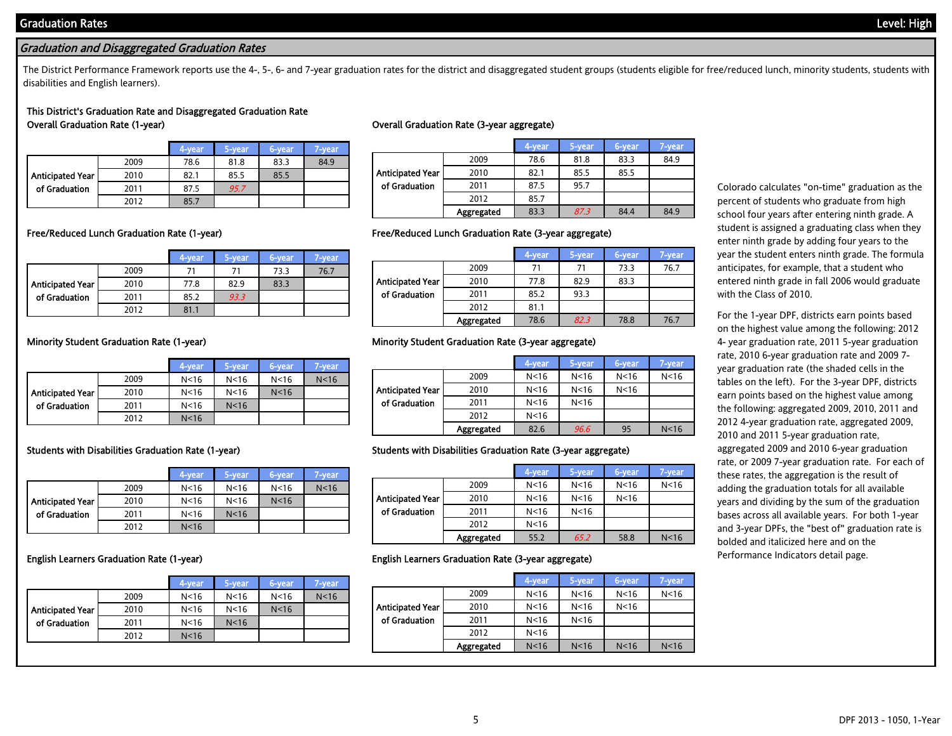# Graduation and Disaggregated Graduation Rates

The District Performance Framework reports use the 4-, 5-, 6- and 7-year graduation rates for the district and disaggregated student groups (students eligible for free/reduced lunch, minority students, students with disabilities and English learners).

### This District's Graduation Rate and Disaggregated Graduation Rate Overall Graduation Rate (1-year) Overall Graduation Rate (3-year aggregate)

|                  |      | 4-vear | 5-vear | 6-vear | 7-vear |
|------------------|------|--------|--------|--------|--------|
|                  | 2009 | 78.6   | 81.8   | 83.3   | 84.9   |
| Anticipated Year | 2010 | 82.1   | 85.5   | 85.5   |        |
| of Graduation    | 2011 | 87.5   | 95.7   |        |        |
|                  | 2012 | 85.7   |        |        |        |

|                  |            | 4-year | 5-year | 6-year | 7-year |
|------------------|------------|--------|--------|--------|--------|
|                  | 2009       | 78.6   | 81.8   | 83.3   | 84.9   |
| Anticipated Year | 2010       | 82.1   | 85.5   | 85.5   |        |
| of Graduation    | 2011       | 87.5   | 95.7   |        |        |
|                  | 2012       | 85.7   |        |        |        |
|                  | Aggregated | 83.3   | 87.3   | 84.4   | 84.9   |

|                  |      | 4-year | 5-year | 6-year | 7-year |
|------------------|------|--------|--------|--------|--------|
|                  | 2009 | 71     | 71     | 73.3   | 76.7   |
| Anticipated Year | 2010 | 77.8   | 82.9   | 83.3   |        |
| of Graduation    | 2011 | 85.2   | 93.3   |        |        |
|                  | 2012 | 81.1   |        |        |        |

### Free/Reduced Lunch Graduation Rate (1-year) Free/Reduced Lunch Graduation Rate (3-year aggregate)

|                  |            | 4-year | 5-year | 6-year | 7-year |
|------------------|------------|--------|--------|--------|--------|
|                  | 2009       | 71     | 71     | 73.3   | 76.7   |
| Anticipated Year | 2010       | 77.8   | 82.9   | 83.3   |        |
| of Graduation    | 2011       | 85.2   | 93.3   |        |        |
|                  | 2012       | 81.1   |        |        |        |
|                  | Aggregated | 78.6   | 82.3   | 78.8   | 76.7   |

|                  |      | 4-year          | 5-year          | 6-year          | 7-vear          |
|------------------|------|-----------------|-----------------|-----------------|-----------------|
|                  | 2009 | N <sub>16</sub> | N <sub>16</sub> | N <sub>16</sub> | N <sub>16</sub> |
| Anticipated Year | 2010 | N <sub>16</sub> | N <sub>16</sub> | N <sub>16</sub> |                 |
| of Graduation    | 2011 | N <sub>16</sub> | N <sub>16</sub> |                 |                 |
|                  | 2012 | N <sub>16</sub> |                 |                 |                 |

|                  |      | 4-year          | 5-year          | 6-year          | 7-vear          |
|------------------|------|-----------------|-----------------|-----------------|-----------------|
|                  | 2009 | N < 16          | N <sub>16</sub> | N <sub>16</sub> | N <sub>16</sub> |
| Anticipated Year | 2010 | N <sub>16</sub> | N <sub>16</sub> | N <sub>16</sub> |                 |
| of Graduation    | 2011 | N <sub>16</sub> | N <sub>16</sub> |                 |                 |
|                  | 2012 | N <sub>16</sub> |                 |                 |                 |

|                         |      | 4-year          | 5-year          | 6-year          | 7-year          |
|-------------------------|------|-----------------|-----------------|-----------------|-----------------|
|                         | 2009 | N <sub>16</sub> | N <sub>16</sub> | N <sub>16</sub> | N <sub>16</sub> |
| <b>Anticipated Year</b> | 2010 | N <sub>16</sub> | N <sub>16</sub> | N <sub>16</sub> |                 |
| of Graduation           | 2011 | N <sub>16</sub> | N <sub>16</sub> |                 |                 |
|                         | 2012 | N <sub>16</sub> |                 |                 |                 |
|                         |      |                 |                 |                 |                 |

### Minority Student Graduation Rate (1-year) Minority Student Graduation Rate (3-year aggregate)

|                  |            | 4-year          | 5-year          | 6-year          | 7-year          |
|------------------|------------|-----------------|-----------------|-----------------|-----------------|
|                  | 2009       | N <sub>16</sub> | N <sub>16</sub> | N <sub>16</sub> | N <sub>16</sub> |
| Anticipated Year | 2010       | N <sub>16</sub> | N <sub>16</sub> | N <sub>16</sub> |                 |
| of Graduation    | 2011       | N <sub>16</sub> | N <sub>16</sub> |                 |                 |
|                  | 2012       | N <sub>16</sub> |                 |                 |                 |
|                  | Aggregated | 82.6            | 96.6            | 95              | N <sub>16</sub> |

### Students with Disabilities Graduation Rate (1-year) Students with Disabilities Graduation Rate (3-year aggregate)

|                         |            | 4-year          | 5-year          | 6-year          | 7-year          |  |
|-------------------------|------------|-----------------|-----------------|-----------------|-----------------|--|
|                         | 2009       | N <sub>16</sub> | N <sub>16</sub> | N <sub>16</sub> | N <sub>16</sub> |  |
| <b>Anticipated Year</b> | 2010       | N <sub>16</sub> | N <sub>16</sub> | N <sub>16</sub> |                 |  |
| of Graduation           | 2011       | N <sub>16</sub> | N <sub>16</sub> |                 |                 |  |
|                         | 2012       | N <sub>16</sub> |                 |                 |                 |  |
|                         | Aggregated | 55.2            | 65.2            | 58.8            | N <sub>16</sub> |  |

### English Learners Graduation Rate (1-year) English Learners Graduation Rate (3-year aggregate)

|                         |            | 4-year          | 5-year          | 6-year          | 7-year          |
|-------------------------|------------|-----------------|-----------------|-----------------|-----------------|
|                         | 2009       | N <sub>16</sub> | N <sub>16</sub> | N <sub>16</sub> | N <sub>16</sub> |
| <b>Anticipated Year</b> | 2010       | N <sub>16</sub> | N <sub>16</sub> | N <sub>16</sub> |                 |
| of Graduation           | 2011       | N <sub>16</sub> | N <sub>16</sub> |                 |                 |
|                         | 2012       | N <sub>16</sub> |                 |                 |                 |
|                         | Aggregated | N <sub>16</sub> | N <sub>16</sub> | N <sub>16</sub> | N <sub>16</sub> |

Colorado calculates "on-time" graduation as the percent of students who graduate from high school four years after entering ninth grade. A student is assigned a graduating class when they enter ninth grade by adding four years to the year the student enters ninth grade. The formula anticipates, for example, that a student who entered ninth grade in fall 2006 would graduate with the Class of 2010.

For the 1-year DPF, districts earn points based on the highest value among the following: 2012 4- year graduation rate, 2011 5-year graduation rate, 2010 6-year graduation rate and 2009 7 year graduation rate (the shaded cells in the tables on the left). For the 3-year DPF, districts earn points based on the highest value among the following: aggregated 2009, 2010, 2011 and 2012 4-year graduation rate, aggregated 2009, 2010 and 2011 5-year graduation rate, aggregated 2009 and 2010 6-year graduation rate, or 2009 7-year graduation rate. For each of these rates, the aggregation is the result of adding the graduation totals for all available years and dividing by the sum of the graduation bases across all available years. For both 1-year and 3-year DPFs, the "best of" graduation rate is bolded and italicized here and on the Performance Indicators detail page.

| For the 1-year DPF, districts earn points base |
|------------------------------------------------|
| on the highest value among the following: 2    |
| 4- year graduation rate, 2011 5-year gradua    |
| rate, 2010 6-year graduation rate and 2009     |
| year graduation rate (the shaded cells in the  |
| tables on the left). For the 3-year DPF, disti |
| earn points based on the highest value amo     |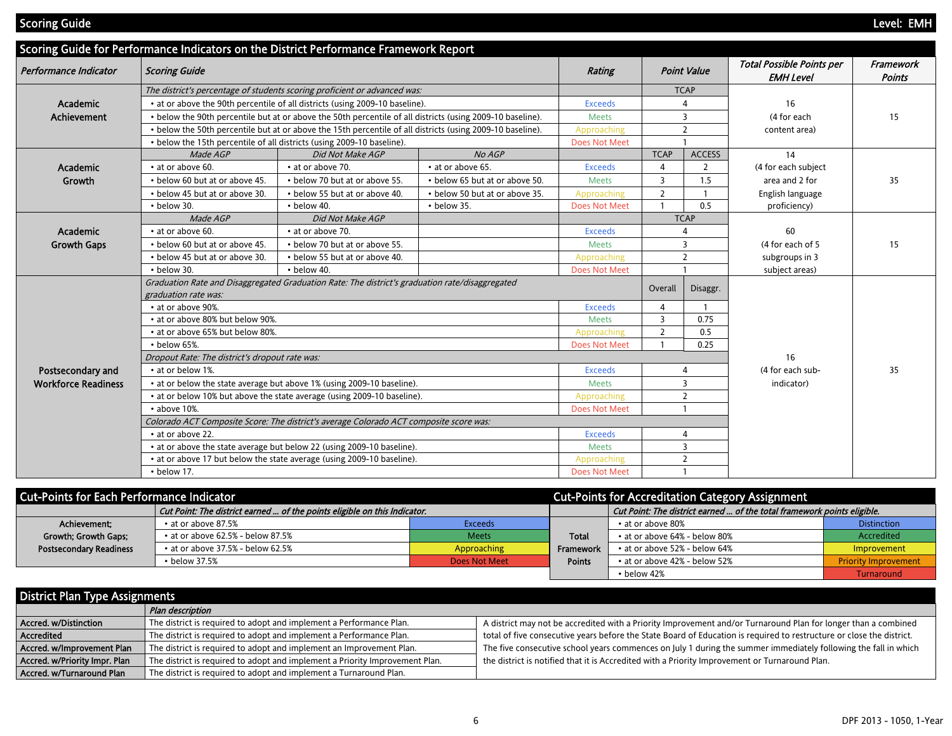Scoring Guide - Present Present Present Present Present Present Present Present Present Present Present Present

|                            | Scoring Guide for Performance Indicators on the District Performance Framework Report |                                                                                                            |                                |                      |                         |                    |                                                      |                            |
|----------------------------|---------------------------------------------------------------------------------------|------------------------------------------------------------------------------------------------------------|--------------------------------|----------------------|-------------------------|--------------------|------------------------------------------------------|----------------------------|
| Performance Indicator      | <b>Scoring Guide</b>                                                                  |                                                                                                            |                                | Rating               |                         | <b>Point Value</b> | <b>Total Possible Points per</b><br><b>EMH Level</b> | Framework<br><b>Points</b> |
|                            |                                                                                       | The district's percentage of students scoring proficient or advanced was:                                  |                                |                      |                         | <b>TCAP</b>        |                                                      |                            |
| <b>Academic</b>            |                                                                                       | • at or above the 90th percentile of all districts (using 2009-10 baseline).                               |                                | <b>Exceeds</b>       |                         | 4                  | 16                                                   |                            |
| <b>Achievement</b>         |                                                                                       | • below the 90th percentile but at or above the 50th percentile of all districts (using 2009-10 baseline). |                                | <b>Meets</b>         |                         | 3                  | (4 for each                                          | 15                         |
|                            |                                                                                       | • below the 50th percentile but at or above the 15th percentile of all districts (using 2009-10 baseline). |                                | Approaching          |                         | $\overline{2}$     | content area)                                        |                            |
|                            |                                                                                       | • below the 15th percentile of all districts (using 2009-10 baseline).                                     |                                | <b>Does Not Meet</b> |                         |                    |                                                      |                            |
|                            | Made AGP                                                                              | Did Not Make AGP                                                                                           | No AGP                         |                      | <b>TCAP</b>             | <b>ACCESS</b>      | 14                                                   |                            |
| Academic                   | • at or above 60.                                                                     | • at or above 70.                                                                                          | • at or above 65.              | <b>Exceeds</b>       | $\overline{4}$          | $\overline{2}$     | (4 for each subject                                  |                            |
| Growth                     | • below 60 but at or above 45.                                                        | • below 70 but at or above 55.                                                                             | • below 65 but at or above 50. | <b>Meets</b>         | $\overline{\mathbf{3}}$ | 1.5                | area and 2 for                                       | 35                         |
|                            | • below 45 but at or above 30.                                                        | • below 55 but at or above 40.                                                                             | • below 50 but at or above 35. | Approaching          | $\overline{2}$          |                    | English language                                     |                            |
|                            | • below 30.                                                                           | • below 40.                                                                                                | • below 35.                    | <b>Does Not Meet</b> |                         | 0.5                | proficiency)                                         |                            |
|                            | Made AGP                                                                              | Did Not Make AGP                                                                                           |                                |                      |                         | <b>TCAP</b>        |                                                      |                            |
| Academic                   | • at or above 60.                                                                     | • at or above 70.                                                                                          |                                | <b>Exceeds</b>       |                         | 4                  | 60                                                   |                            |
| <b>Growth Gaps</b>         | • below 60 but at or above 45.                                                        | • below 70 but at or above 55.                                                                             |                                | <b>Meets</b>         | 3                       |                    | (4 for each of 5                                     | 15                         |
|                            | • below 45 but at or above 30.                                                        | • below 55 but at or above 40.                                                                             |                                | Approaching          |                         | $\overline{2}$     | subgroups in 3                                       |                            |
|                            | • below 30.                                                                           | • below 40.                                                                                                |                                | <b>Does Not Meet</b> |                         |                    | subject areas)                                       |                            |
|                            |                                                                                       | Graduation Rate and Disaggregated Graduation Rate: The district's graduation rate/disaggregated            |                                |                      | Overall                 | Disaggr.           |                                                      |                            |
|                            | graduation rate was:                                                                  |                                                                                                            |                                |                      |                         |                    |                                                      |                            |
|                            | • at or above 90%.                                                                    |                                                                                                            |                                | <b>Exceeds</b>       | $\overline{4}$          |                    |                                                      |                            |
|                            | • at or above 80% but below 90%.                                                      |                                                                                                            |                                | <b>Meets</b>         | $\overline{\mathbf{3}}$ | 0.75               |                                                      |                            |
|                            | • at or above 65% but below 80%.                                                      |                                                                                                            |                                | Approaching          | $\overline{2}$          | 0.5                |                                                      |                            |
|                            | • below 65%.                                                                          |                                                                                                            |                                | <b>Does Not Meet</b> |                         | 0.25               |                                                      |                            |
|                            | Dropout Rate: The district's dropout rate was:                                        |                                                                                                            |                                |                      |                         |                    | 16                                                   |                            |
| Postsecondary and          | • at or below 1%.                                                                     |                                                                                                            |                                | <b>Exceeds</b>       |                         | 4                  | (4 for each sub-                                     | 35                         |
| <b>Workforce Readiness</b> |                                                                                       | • at or below the state average but above 1% (using 2009-10 baseline).                                     |                                | <b>Meets</b>         |                         | $\overline{3}$     | indicator)                                           |                            |
|                            | • at or below 10% but above the state average (using 2009-10 baseline).               | Approaching                                                                                                |                                | $\overline{2}$       |                         |                    |                                                      |                            |
|                            | • above 10%.                                                                          |                                                                                                            |                                | <b>Does Not Meet</b> |                         |                    |                                                      |                            |
|                            |                                                                                       | Colorado ACT Composite Score: The district's average Colorado ACT composite score was:                     |                                |                      |                         |                    |                                                      |                            |
|                            | • at or above 22.                                                                     |                                                                                                            |                                | <b>Exceeds</b>       |                         | 4                  |                                                      |                            |
|                            |                                                                                       | • at or above the state average but below 22 (using 2009-10 baseline).                                     |                                | <b>Meets</b>         |                         | 3                  |                                                      |                            |
|                            |                                                                                       | • at or above 17 but below the state average (using 2009-10 baseline).                                     |                                | Approaching          |                         | $\overline{2}$     |                                                      |                            |
|                            | $\cdot$ below 17.                                                                     |                                                                                                            |                                | <b>Does Not Meet</b> |                         |                    |                                                      |                            |

| Cut-Points for Each Performance Indicator |                                                                           | <b>Cut-Points for Accreditation Category Assignment</b> |               |                                                                         |                             |  |  |
|-------------------------------------------|---------------------------------------------------------------------------|---------------------------------------------------------|---------------|-------------------------------------------------------------------------|-----------------------------|--|--|
|                                           | Cut Point: The district earned  of the points eligible on this Indicator. |                                                         |               | Cut Point: The district earned  of the total framework points eligible. |                             |  |  |
| Achievement:                              | • at or above 87.5%                                                       | <b>Exceeds</b>                                          |               | $\cdot$ at or above 80%                                                 | <b>Distinction</b>          |  |  |
| Growth; Growth Gaps;                      | $\cdot$ at or above 62.5% - below 87.5%                                   | <b>Meets</b>                                            | <b>Total</b>  | • at or above 64% - below 80%                                           | Accredited                  |  |  |
| <b>Postsecondary Readiness</b>            | $\cdot$ at or above 37.5% - below 62.5%                                   | Approaching                                             | Framework     | • at or above 52% - below 64%                                           | Improvement                 |  |  |
|                                           | $\cdot$ below 37.5%                                                       | Does Not Meet                                           | <b>Points</b> | • at or above 42% - below 52%                                           | <b>Priority Improvement</b> |  |  |
|                                           |                                                                           |                                                         |               | $\cdot$ below 42%                                                       | Turnaround                  |  |  |

| District Plan Type Assignments |                                                                              |                                                                                                                       |
|--------------------------------|------------------------------------------------------------------------------|-----------------------------------------------------------------------------------------------------------------------|
|                                | Plan description                                                             |                                                                                                                       |
| Accred. w/Distinction          | The district is required to adopt and implement a Performance Plan.          | A district may not be accredited with a Priority Improvement and/or Turnaround Plan for longer than a combined        |
| <b>Accredited</b>              | The district is required to adopt and implement a Performance Plan.          | total of five consecutive years before the State Board of Education is required to restructure or close the district. |
| Accred. w/Improvement Plan     | The district is required to adopt and implement an Improvement Plan.         | The five consecutive school years commences on July 1 during the summer immediately following the fall in which       |
| Accred. w/Priority Impr. Plan  | The district is required to adopt and implement a Priority Improvement Plan. | the district is notified that it is Accredited with a Priority Improvement or Turnaround Plan.                        |
| Accred. w/Turnaround Plan      | The district is required to adopt and implement a Turnaround Plan.           |                                                                                                                       |